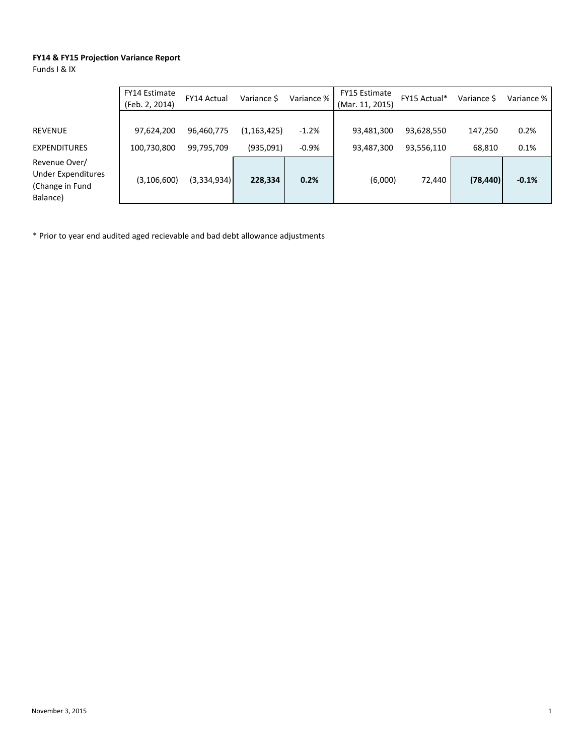## **FY14 & FY15 Projection Variance Report**

Funds I & IX

|                                                                    | FY14 Estimate<br>(Feb. 2, 2014) | <b>FY14 Actual</b>       | Variance \$                | Variance %         | FY15 Estimate<br>(Mar. 11, 2015) | FY15 Actual*             | Variance S        | Variance %   |
|--------------------------------------------------------------------|---------------------------------|--------------------------|----------------------------|--------------------|----------------------------------|--------------------------|-------------------|--------------|
| REVENUE<br><b>EXPENDITURES</b>                                     | 97,624,200<br>100,730,800       | 96,460,775<br>99,795,709 | (1, 163, 425)<br>(935,091) | $-1.2%$<br>$-0.9%$ | 93,481,300<br>93,487,300         | 93,628,550<br>93,556,110 | 147,250<br>68,810 | 0.2%<br>0.1% |
| Revenue Over/<br>Under Expenditures<br>(Change in Fund<br>Balance) | (3, 106, 600)                   | (3,334,934)              | 228,334                    | 0.2%               | (6,000)                          | 72,440                   | (78, 440)         | $-0.1%$      |

\* Prior to year end audited aged recievable and bad debt allowance adjustments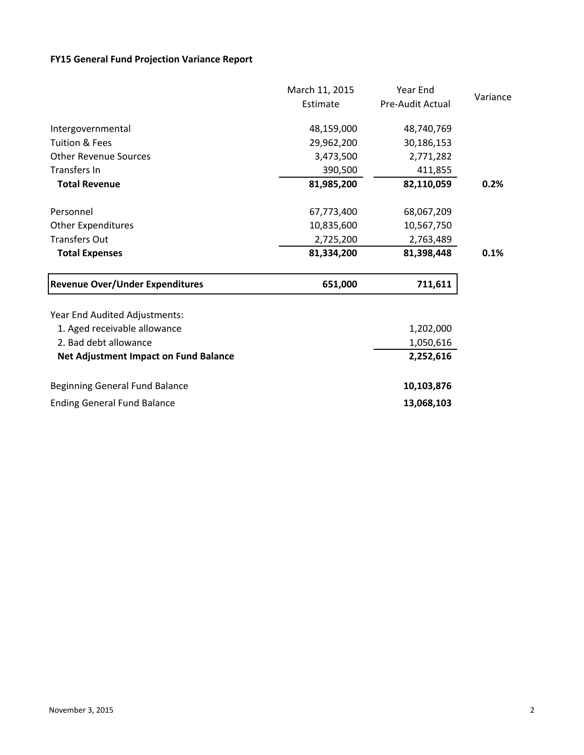## **FY15 General Fund Projection Variance Report**

|                                              | March 11, 2015 | Year End         |          |
|----------------------------------------------|----------------|------------------|----------|
|                                              | Estimate       | Pre-Audit Actual | Variance |
| Intergovernmental                            | 48,159,000     | 48,740,769       |          |
| Tuition & Fees                               | 29,962,200     | 30,186,153       |          |
| <b>Other Revenue Sources</b>                 | 3,473,500      | 2,771,282        |          |
| <b>Transfers In</b>                          | 390,500        | 411,855          |          |
| <b>Total Revenue</b>                         | 81,985,200     | 82,110,059       | 0.2%     |
| Personnel                                    | 67,773,400     | 68,067,209       |          |
| <b>Other Expenditures</b>                    | 10,835,600     | 10,567,750       |          |
| <b>Transfers Out</b>                         | 2,725,200      | 2,763,489        |          |
| <b>Total Expenses</b>                        | 81,334,200     | 81,398,448       | 0.1%     |
| <b>Revenue Over/Under Expenditures</b>       | 651,000        | 711,611          |          |
| Year End Audited Adjustments:                |                |                  |          |
| 1. Aged receivable allowance                 |                | 1,202,000        |          |
| 2. Bad debt allowance                        |                | 1,050,616        |          |
| <b>Net Adjustment Impact on Fund Balance</b> |                | 2,252,616        |          |
| Beginning General Fund Balance               |                | 10,103,876       |          |
| <b>Ending General Fund Balance</b>           |                | 13,068,103       |          |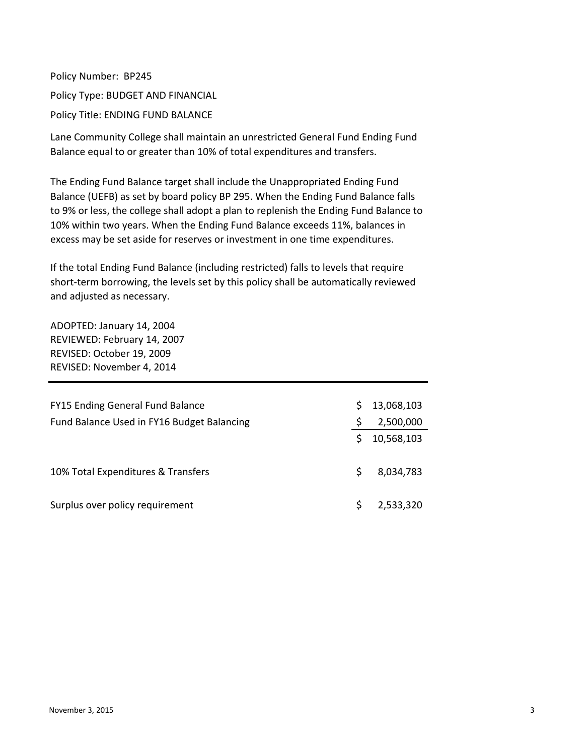Policy Number: BP245 Policy Type: BUDGET AND FINANCIAL Policy Title: ENDING FUND BALANCE

Lane Community College shall maintain an unrestricted General Fund Ending Fund Balance equal to or greater than 10% of total expenditures and transfers.

The Ending Fund Balance target shall include the Unappropriated Ending Fund Balance (UEFB) as set by board policy BP 295. When the Ending Fund Balance falls to 9% or less, the college shall adopt a plan to replenish the Ending Fund Balance to 10% within two years. When the Ending Fund Balance exceeds 11%, balances in excess may be set aside for reserves or investment in one time expenditures.

If the total Ending Fund Balance (including restricted) falls to levels that require short-term borrowing, the levels set by this policy shall be automatically reviewed and adjusted as necessary.

ADOPTED: January 14, 2004 REVIEWED: February 14, 2007 REVISED: October 19, 2009 REVISED: November 4, 2014

| <b>FY15 Ending General Fund Balance</b>    |    | 13,068,103 |
|--------------------------------------------|----|------------|
| Fund Balance Used in FY16 Budget Balancing |    | 2,500,000  |
|                                            | S. | 10,568,103 |
| 10% Total Expenditures & Transfers         | S  | 8,034,783  |
| Surplus over policy requirement            | S  | 2,533,320  |